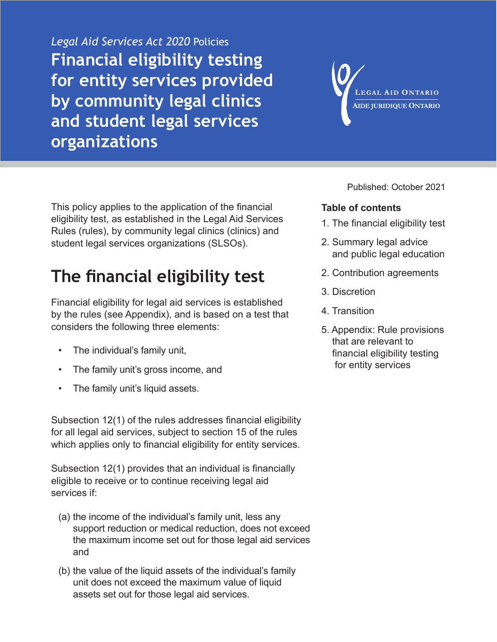*Legal Aid Services Act 2020* Policies **Financial eligibility testing for entity services provided by community legal clinics and student legal services organizations**

LEGAL AID ONTARIO **AIDE JURIDIQUE ONTARIO** 

This policy applies to the application of the financial eligibility test, as established in the Legal Aid Services Rules (rules), by community legal clinics (clinics) and student legal services organizations (SLSOs).

# **The financial eligibility test**

Financial eligibility for legal aid services is established by the rules (see Appendix), and is based on a test that considers the following three elements:

- The individual's family unit,
- The family unit's gross income, and
- The family unit's liquid assets.

Subsection 12(1) of the rules addresses financial eligibility for all legal aid services, subject to section 15 of the rules which applies only to financial eligibility for entity services.

Subsection 12(1) provides that an individual is financially eligible to receive or to continue receiving legal aid services if:

- (a) the income of the individual's family unit, less any support reduction or medical reduction, does not exceed the maximum income set out for those legal aid services and
- (b) the value of the liquid assets of the individual's family unit does not exceed the maximum value of liquid assets set out for those legal aid services.

Published: October 2021

#### **Table of contents**

- 1. The financial eligibility test
- [2. Summary legal advice](#page-1-0)  [and public legal education](#page-1-0)
- [2. Contribution agreements](#page-1-0)
- [3. Discretion](#page-2-0)
- [4. Transition](#page-3-0)
- [5. Appendix: Rule provisions](#page-4-0)  [that are relevant to](#page-4-0)  [financial eligibility testing](#page-4-0)  [for entity services](#page-4-0)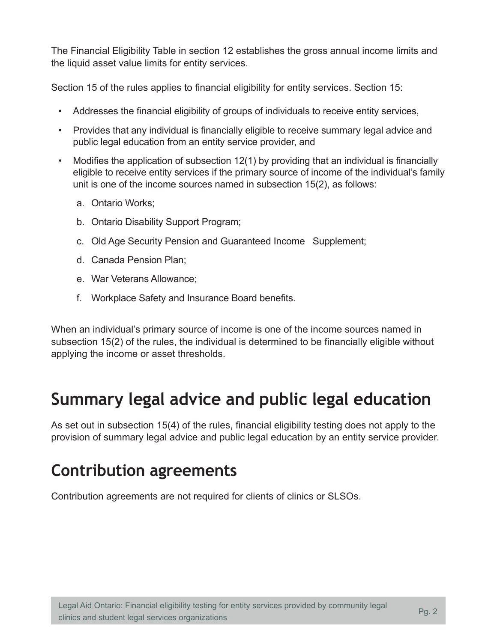<span id="page-1-0"></span>The Financial Eligibility Table in section 12 establishes the gross annual income limits and the liquid asset value limits for entity services.

Section 15 of the rules applies to financial eligibility for entity services. Section 15:

- Addresses the financial eligibility of groups of individuals to receive entity services,
- Provides that any individual is financially eligible to receive summary legal advice and public legal education from an entity service provider, and
- Modifies the application of subsection 12(1) by providing that an individual is financially eligible to receive entity services if the primary source of income of the individual's family unit is one of the income sources named in subsection 15(2), as follows:
	- a. Ontario Works;
	- b. Ontario Disability Support Program;
	- c. Old Age Security Pension and Guaranteed Income Supplement;
	- d. Canada Pension Plan;
	- e. War Veterans Allowance;
	- f. Workplace Safety and Insurance Board benefits.

When an individual's primary source of income is one of the income sources named in subsection 15(2) of the rules, the individual is determined to be financially eligible without applying the income or asset thresholds.

# **Summary legal advice and public legal education**

As set out in subsection 15(4) of the rules, financial eligibility testing does not apply to the provision of summary legal advice and public legal education by an entity service provider.

### **Contribution agreements**

Contribution agreements are not required for clients of clinics or SLSOs.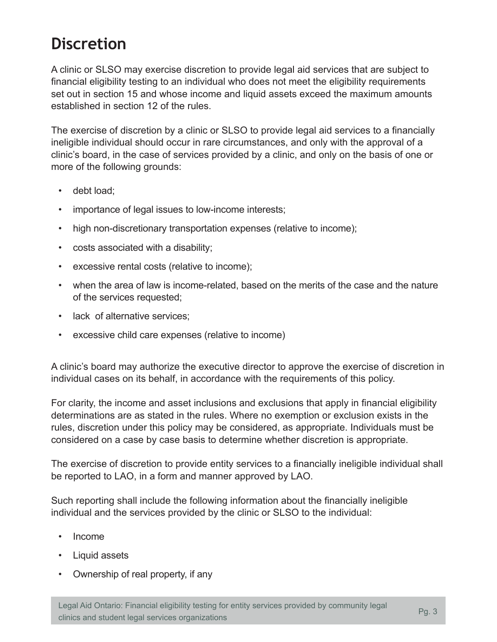# <span id="page-2-0"></span>**Discretion**

A clinic or SLSO may exercise discretion to provide legal aid services that are subject to financial eligibility testing to an individual who does not meet the eligibility requirements set out in section 15 and whose income and liquid assets exceed the maximum amounts established in section 12 of the rules.

The exercise of discretion by a clinic or SLSO to provide legal aid services to a financially ineligible individual should occur in rare circumstances, and only with the approval of a clinic's board, in the case of services provided by a clinic, and only on the basis of one or more of the following grounds:

- debt load;
- importance of legal issues to low-income interests;
- high non-discretionary transportation expenses (relative to income);
- costs associated with a disability;
- excessive rental costs (relative to income);
- when the area of law is income-related, based on the merits of the case and the nature of the services requested;
- lack of alternative services;
- excessive child care expenses (relative to income)

A clinic's board may authorize the executive director to approve the exercise of discretion in individual cases on its behalf, in accordance with the requirements of this policy.

For clarity, the income and asset inclusions and exclusions that apply in financial eligibility determinations are as stated in the rules. Where no exemption or exclusion exists in the rules, discretion under this policy may be considered, as appropriate. Individuals must be considered on a case by case basis to determine whether discretion is appropriate.

The exercise of discretion to provide entity services to a financially ineligible individual shall be reported to LAO, in a form and manner approved by LAO.

Such reporting shall include the following information about the financially ineligible individual and the services provided by the clinic or SLSO to the individual:

- Income
- Liquid assets
- Ownership of real property, if any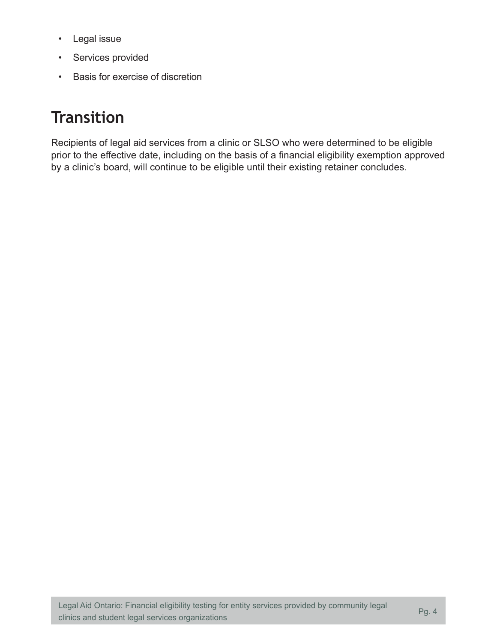- <span id="page-3-0"></span>• Legal issue
- Services provided
- Basis for exercise of discretion

## **Transition**

Recipients of legal aid services from a clinic or SLSO who were determined to be eligible prior to the effective date, including on the basis of a financial eligibility exemption approved by a clinic's board, will continue to be eligible until their existing retainer concludes.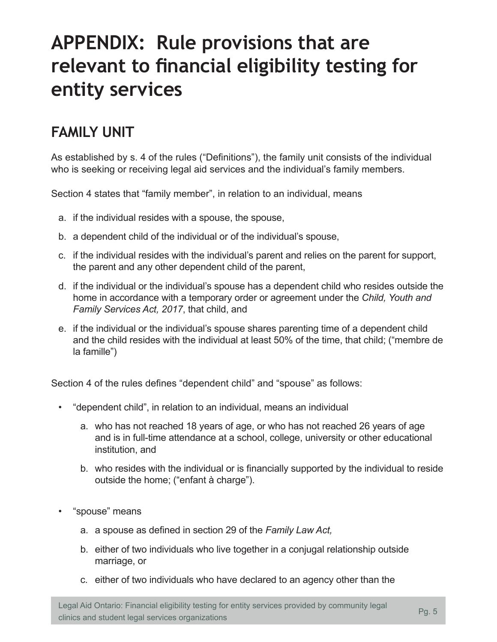# <span id="page-4-0"></span>**APPENDIX: Rule provisions that are relevant to financial eligibility testing for entity services**

### **FAMILY UNIT**

As established by s. 4 of the rules ("Definitions"), the family unit consists of the individual who is seeking or receiving legal aid services and the individual's family members.

Section 4 states that "family member", in relation to an individual, means

- a. if the individual resides with a spouse, the spouse,
- b. a dependent child of the individual or of the individual's spouse,
- c. if the individual resides with the individual's parent and relies on the parent for support, the parent and any other dependent child of the parent,
- d. if the individual or the individual's spouse has a dependent child who resides outside the home in accordance with a temporary order or agreement under the *Child, Youth and Family Services Act, 2017*, that child, and
- e. if the individual or the individual's spouse shares parenting time of a dependent child and the child resides with the individual at least 50% of the time, that child; ("membre de la famille")

Section 4 of the rules defines "dependent child" and "spouse" as follows:

- "dependent child", in relation to an individual, means an individual
	- a. who has not reached 18 years of age, or who has not reached 26 years of age and is in full-time attendance at a school, college, university or other educational institution, and
	- b. who resides with the individual or is financially supported by the individual to reside outside the home; ("enfant à charge").
- "spouse" means
	- a. a spouse as defined in section 29 of the *Family Law Act,*
	- b. either of two individuals who live together in a conjugal relationship outside marriage, or
	- c. either of two individuals who have declared to an agency other than the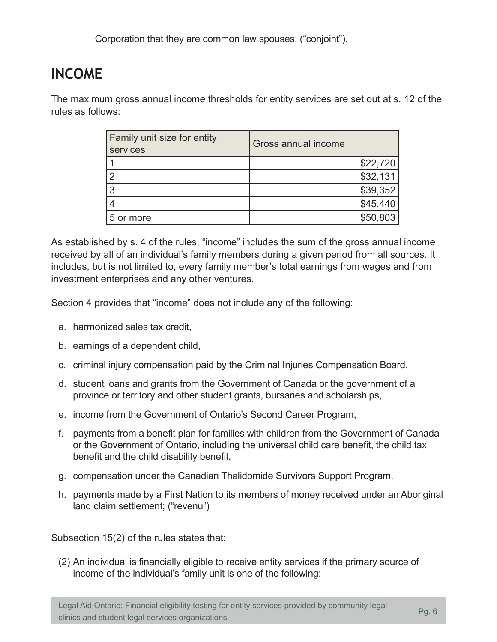### **INCOME**

The maximum gross annual income thresholds for entity services are set out at s. 12 of the rules as follows:

| Family unit size for entity<br>services | Gross annual income |
|-----------------------------------------|---------------------|
|                                         | \$22,720            |
| 2                                       | \$32,131            |
| 3                                       | \$39,352            |
| 4                                       | \$45,440            |
| 5 or more                               | \$50,803            |

As established by s. 4 of the rules, "income" includes the sum of the gross annual income received by all of an individual's family members during a given period from all sources. It includes, but is not limited to, every family member's total earnings from wages and from investment enterprises and any other ventures.

Section 4 provides that "income" does not include any of the following:

- a. harmonized sales tax credit,
- b. earnings of a dependent child,
- c. criminal injury compensation paid by the Criminal Injuries Compensation Board,
- d. student loans and grants from the Government of Canada or the government of a province or territory and other student grants, bursaries and scholarships,
- e. income from the Government of Ontario's Second Career Program,
- f. payments from a benefit plan for families with children from the Government of Canada or the Government of Ontario, including the universal child care benefit, the child tax benefit and the child disability benefit,
- g. compensation under the Canadian Thalidomide Survivors Support Program,
- h. payments made by a First Nation to its members of money received under an Aboriginal land claim settlement; ("revenu")

Subsection 15(2) of the rules states that:

(2) An individual is financially eligible to receive entity services if the primary source of income of the individual's family unit is one of the following: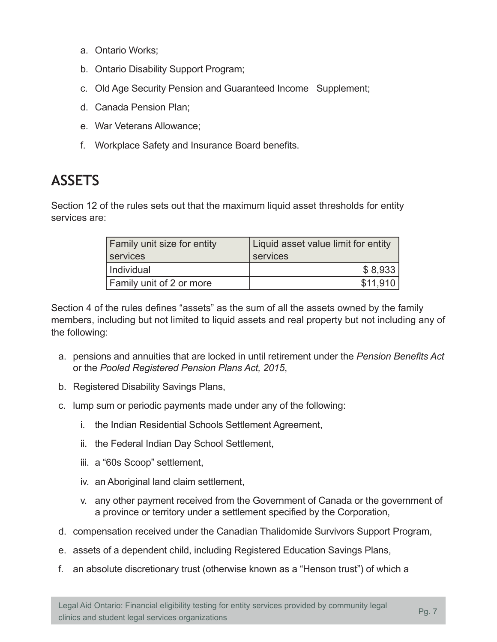- a. Ontario Works;
- b. Ontario Disability Support Program;
- c. Old Age Security Pension and Guaranteed Income Supplement;
- d. Canada Pension Plan;
- e. War Veterans Allowance;
- f. Workplace Safety and Insurance Board benefits.

### **ASSETS**

Section 12 of the rules sets out that the maximum liquid asset thresholds for entity services are:

| <b>Family unit size for entity</b> | Liquid asset value limit for entity |
|------------------------------------|-------------------------------------|
| services                           | services                            |
| Individual                         | \$8,933                             |
| <b>Family unit of 2 or more</b>    | \$11.910                            |

Section 4 of the rules defines "assets" as the sum of all the assets owned by the family members, including but not limited to liquid assets and real property but not including any of the following:

- a. pensions and annuities that are locked in until retirement under the *Pension Benefits Act*  or the *Pooled Registered Pension Plans Act, 2015*,
- b. Registered Disability Savings Plans,
- c. lump sum or periodic payments made under any of the following:
	- i. the Indian Residential Schools Settlement Agreement,
	- ii. the Federal Indian Day School Settlement,
	- iii. a "60s Scoop" settlement,
	- iv. an Aboriginal land claim settlement,
	- v. any other payment received from the Government of Canada or the government of a province or territory under a settlement specified by the Corporation,
- d. compensation received under the Canadian Thalidomide Survivors Support Program,
- e. assets of a dependent child, including Registered Education Savings Plans,
- f. an absolute discretionary trust (otherwise known as a "Henson trust") of which a